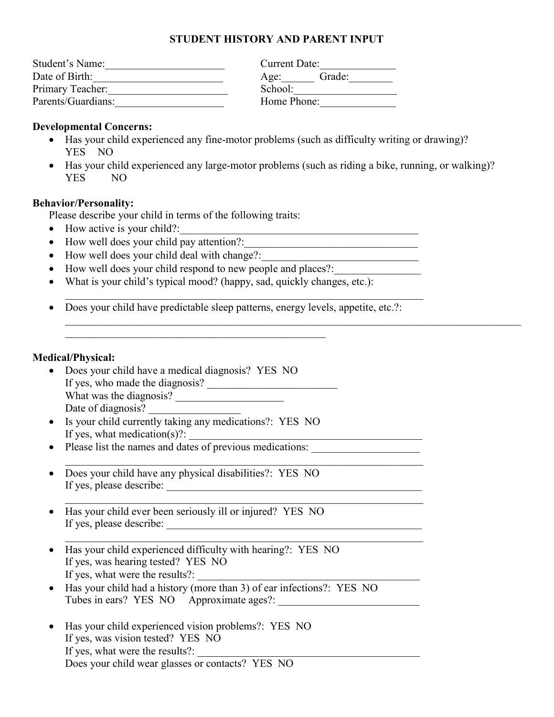# **STUDENT HISTORY AND PARENT INPUT**

| Student's Name:    | Current Date:  |
|--------------------|----------------|
| Date of Birth:     | Grade:<br>Age: |
| Primary Teacher:   | School:        |
| Parents/Guardians: | Home Phone:    |

# **Developmental Concerns:**

- Has your child experienced any fine-motor problems (such as difficulty writing or drawing)? YES NO
- Has your child experienced any large-motor problems (such as riding a bike, running, or walking)? YES NO

 $\_$  , and the set of the set of the set of the set of the set of the set of the set of the set of the set of the set of the set of the set of the set of the set of the set of the set of the set of the set of the set of th

### **Behavior/Personality:**

Please describe your child in terms of the following traits:

- How active is your child?:
- How well does your child pay attention?:
- How well does your child deal with change?:
- How well does your child respond to new people and places?:
- What is your child's typical mood? (happy, sad, quickly changes, etc.):
- Does your child have predictable sleep patterns, energy levels, appetite, etc.?:

 $\_$ 

 $\_$ 

 $\_$ 

#### **Medical/Physical:**

- Does your child have a medical diagnosis? YES NO If yes, who made the diagnosis?  $\overline{\qquad \qquad }$ What was the diagnosis? Date of diagnosis?
- Is your child currently taking any medications?: YES NO If yes, what medication $(s)$ ?:
- Please list the names and dates of previous medications:
- Does your child have any physical disabilities?: YES NO If yes, please describe:
- Has your child ever been seriously ill or injured? YES NO If yes, please describe:
- Has your child experienced difficulty with hearing?: YES NO If yes, was hearing tested? YES NO If yes, what were the results?:
- Has your child had a history (more than  $\overline{3}$ ) of ear infections?: YES NO Tubes in ears? YES NO Approximate ages?:
- Has your child experienced vision problems?: YES NO If yes, was vision tested? YES NO If yes, what were the results?: Does your child wear glasses or contacts? YES NO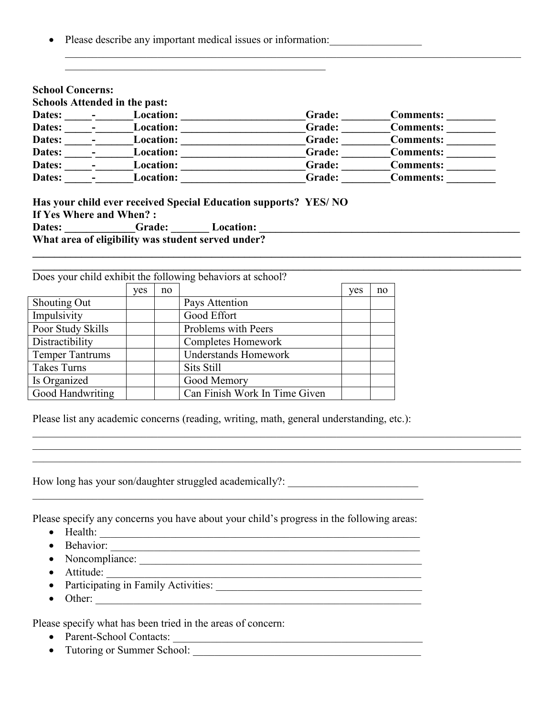Please describe any important medical issues or information:

 $\mathcal{L}_\text{max}$  and  $\mathcal{L}_\text{max}$  and  $\mathcal{L}_\text{max}$  and  $\mathcal{L}_\text{max}$  and  $\mathcal{L}_\text{max}$ 

| <b>Dates:</b> | Location:        | Grade: | <b>Comments:</b> |
|---------------|------------------|--------|------------------|
| Dates:        | Location:        | Grade: | <b>Comments:</b> |
| Dates:        | Location:        | Grade: | <b>Comments:</b> |
| Dates:        | Location:        | Grade: | <b>Comments:</b> |
| Dates:        | <b>Location:</b> | Grade: | <b>Comments:</b> |
| Dates:        | Location:        | Grade: | <b>Comments:</b> |

**\_\_\_\_\_\_\_\_\_\_\_\_\_\_\_\_\_\_\_\_\_\_\_\_\_\_\_\_\_\_\_\_\_\_\_\_\_\_\_\_\_\_\_\_\_\_\_\_\_\_\_\_\_\_\_\_\_\_\_\_\_\_\_\_\_\_\_\_\_\_\_\_\_\_\_\_\_\_\_\_\_\_\_\_\_\_\_\_\_\_**

 $\mathcal{L}_\mathcal{L} = \mathcal{L}_\mathcal{L} = \mathcal{L}_\mathcal{L} = \mathcal{L}_\mathcal{L} = \mathcal{L}_\mathcal{L} = \mathcal{L}_\mathcal{L} = \mathcal{L}_\mathcal{L} = \mathcal{L}_\mathcal{L} = \mathcal{L}_\mathcal{L} = \mathcal{L}_\mathcal{L} = \mathcal{L}_\mathcal{L} = \mathcal{L}_\mathcal{L} = \mathcal{L}_\mathcal{L} = \mathcal{L}_\mathcal{L} = \mathcal{L}_\mathcal{L} = \mathcal{L}_\mathcal{L} = \mathcal{L}_\mathcal{L}$  $\mathcal{L}_\mathcal{L} = \{ \mathcal{L}_\mathcal{L} = \{ \mathcal{L}_\mathcal{L} = \{ \mathcal{L}_\mathcal{L} = \{ \mathcal{L}_\mathcal{L} = \{ \mathcal{L}_\mathcal{L} = \{ \mathcal{L}_\mathcal{L} = \{ \mathcal{L}_\mathcal{L} = \{ \mathcal{L}_\mathcal{L} = \{ \mathcal{L}_\mathcal{L} = \{ \mathcal{L}_\mathcal{L} = \{ \mathcal{L}_\mathcal{L} = \{ \mathcal{L}_\mathcal{L} = \{ \mathcal{L}_\mathcal{L} = \{ \mathcal{L}_\mathcal{$  $\mathcal{L}_\mathcal{L} = \{ \mathcal{L}_\mathcal{L} = \{ \mathcal{L}_\mathcal{L} = \{ \mathcal{L}_\mathcal{L} = \{ \mathcal{L}_\mathcal{L} = \{ \mathcal{L}_\mathcal{L} = \{ \mathcal{L}_\mathcal{L} = \{ \mathcal{L}_\mathcal{L} = \{ \mathcal{L}_\mathcal{L} = \{ \mathcal{L}_\mathcal{L} = \{ \mathcal{L}_\mathcal{L} = \{ \mathcal{L}_\mathcal{L} = \{ \mathcal{L}_\mathcal{L} = \{ \mathcal{L}_\mathcal{L} = \{ \mathcal{L}_\mathcal{$ 

\_\_\_\_\_\_\_\_\_\_\_\_\_\_\_\_\_\_\_\_\_\_\_\_\_\_\_\_\_\_\_\_\_\_\_\_\_\_\_\_\_\_\_\_\_\_\_\_\_\_\_\_\_\_\_\_\_\_\_\_\_\_\_\_\_\_\_\_\_\_\_\_\_\_\_\_\_\_\_\_\_\_\_\_

**If Yes Where and When? :<br>Dates:** Grade: Location: **Dates: \_\_\_\_\_\_\_\_\_\_\_\_\_Grade: \_\_\_\_\_\_\_ Location: \_\_\_\_\_\_\_\_\_\_\_\_\_\_\_\_\_\_\_\_\_\_\_\_\_\_\_\_\_\_\_\_\_\_\_\_\_\_\_\_\_\_\_\_\_\_\_\_ What area of eligibility was student served under?** 

| Does your child exhibit the following behaviors at school? |     |    |                               |     |    |
|------------------------------------------------------------|-----|----|-------------------------------|-----|----|
|                                                            | yes | no |                               | yes | no |
| Shouting Out                                               |     |    | Pays Attention                |     |    |
| Impulsivity                                                |     |    | Good Effort                   |     |    |
| Poor Study Skills                                          |     |    | Problems with Peers           |     |    |
| Distractibility                                            |     |    | Completes Homework            |     |    |
| <b>Temper Tantrums</b>                                     |     |    | <b>Understands Homework</b>   |     |    |
| Takes Turns                                                |     |    | Sits Still                    |     |    |
| Is Organized                                               |     |    | Good Memory                   |     |    |
| Good Handwriting                                           |     |    | Can Finish Work In Time Given |     |    |

Please list any academic concerns (reading, writing, math, general understanding, etc.):

How long has your son/daughter struggled academically?: \_\_\_\_\_\_\_\_\_\_\_\_\_\_\_\_\_\_\_\_\_\_\_\_

Please specify any concerns you have about your child's progress in the following areas:

- Health:  $\overline{\phantom{a} \qquad \qquad }$
- Behavior: \_\_\_\_\_\_\_\_\_\_\_\_\_\_\_\_\_\_\_\_\_\_\_\_\_\_\_\_\_\_\_\_\_\_\_\_\_\_\_\_\_\_\_\_\_\_\_\_\_\_\_\_\_\_\_\_\_
- Noncompliance:
- Attitude: \_\_\_\_\_\_\_\_\_\_\_\_\_\_\_\_\_\_\_\_\_\_\_\_\_\_\_\_\_\_\_\_\_\_\_\_\_\_\_\_\_\_\_\_\_\_\_\_\_\_\_\_\_\_\_\_\_\_
- Participating in Family Activities: \_\_\_\_\_\_\_\_\_\_\_\_\_\_\_\_\_\_\_\_\_\_\_\_\_\_\_\_\_\_\_\_\_\_\_\_\_\_
- Other:  $\overline{\phantom{a}}$

Please specify what has been tried in the areas of concern:

- Parent-School Contacts: \_\_\_\_\_\_\_\_\_\_\_\_\_\_\_\_\_\_\_\_\_\_\_\_\_\_\_\_\_\_\_\_\_\_\_\_\_\_\_\_\_\_\_\_\_\_
- Tutoring or Summer School: \_\_\_\_\_\_\_\_\_\_\_\_\_\_\_\_\_\_\_\_\_\_\_\_\_\_\_\_\_\_\_\_\_\_\_\_\_\_\_\_\_\_